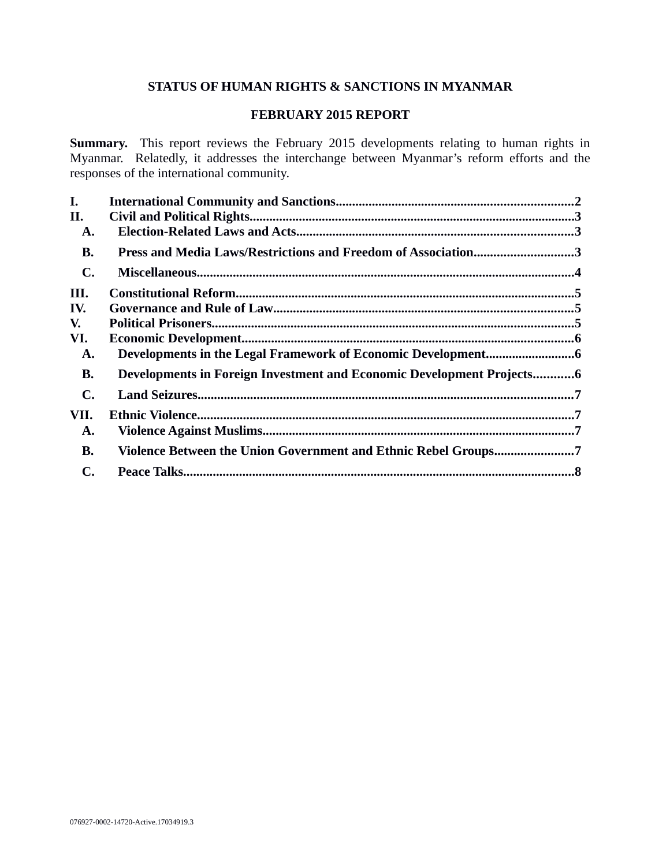## **STATUS OF HUMAN RIGHTS & SANCTIONS IN MYANMAR**

### **FEBRUARY 2015 REPORT**

**Summary.** This report reviews the February 2015 developments relating to human rights in Myanmar. Relatedly, it addresses the interchange between Myanmar's reform efforts and the responses of the international community.

| I.             |                                                                       |  |
|----------------|-----------------------------------------------------------------------|--|
| II.            |                                                                       |  |
| A.             |                                                                       |  |
| <b>B.</b>      | Press and Media Laws/Restrictions and Freedom of Association3         |  |
| $\mathbf{C}$ . |                                                                       |  |
| III.           |                                                                       |  |
| IV.            |                                                                       |  |
| V.             |                                                                       |  |
| VI.            |                                                                       |  |
| A.             |                                                                       |  |
| <b>B.</b>      | Developments in Foreign Investment and Economic Development Projects6 |  |
| $\mathbf{C}$ . |                                                                       |  |
| VII.           |                                                                       |  |
| A.             |                                                                       |  |
| <b>B.</b>      | Violence Between the Union Government and Ethnic Rebel Groups7        |  |
| C.             |                                                                       |  |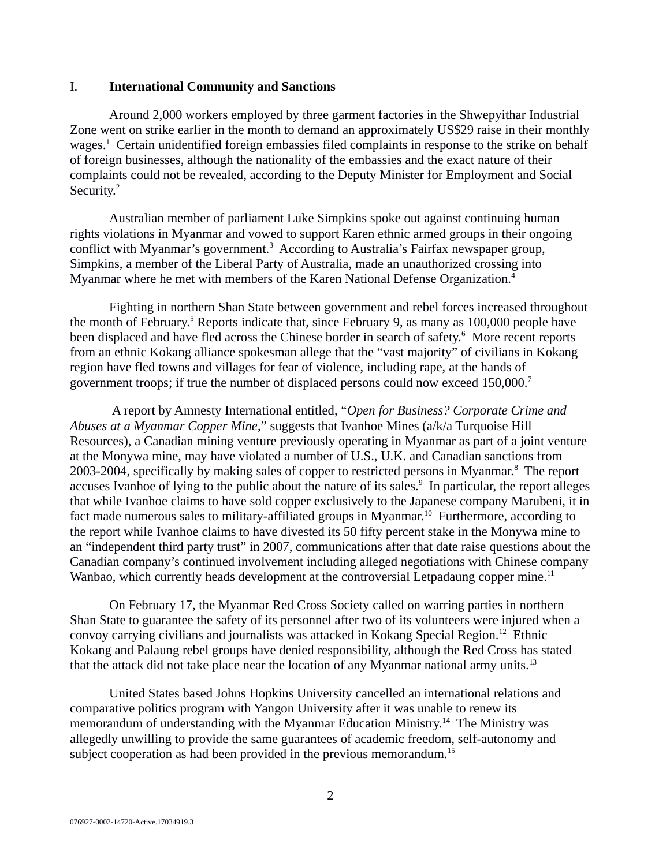#### <span id="page-1-0"></span>I. **International Community and Sanctions**

Around 2,000 workers employed by three garment factories in the Shwepyithar Industrial Zone went on strike earlier in the month to demand an approximately US\$29 raise in their monthly wages.<sup>1</sup> Certain unidentified foreign embassies filed complaints in response to the strike on behalf of foreign businesses, although the nationality of the embassies and the exact nature of their complaints could not be revealed, according to the Deputy Minister for Employment and Social Security.<sup>2</sup>

Australian member of parliament Luke Simpkins spoke out against continuing human rights violations in Myanmar and vowed to support Karen ethnic armed groups in their ongoing conflict with Myanmar's government.<sup>3</sup> According to Australia's Fairfax newspaper group, Simpkins, a member of the Liberal Party of Australia, made an unauthorized crossing into Myanmar where he met with members of the Karen National Defense Organization.<sup>4</sup>

Fighting in northern Shan State between government and rebel forces increased throughout the month of February.<sup>5</sup> Reports indicate that, since February 9, as many as 100,000 people have been displaced and have fled across the Chinese border in search of safety.<sup>6</sup> More recent reports from an ethnic Kokang alliance spokesman allege that the "vast majority" of civilians in Kokang region have fled towns and villages for fear of violence, including rape, at the hands of government troops; if true the number of displaced persons could now exceed 150,000.<sup>7</sup>

 A report by Amnesty International entitled, "*Open for Business? Corporate Crime and Abuses at a Myanmar Copper Mine*," suggests that Ivanhoe Mines (a/k/a Turquoise Hill Resources), a Canadian mining venture previously operating in Myanmar as part of a joint venture at the Monywa mine, may have violated a number of U.S., U.K. and Canadian sanctions from 2003-2004, specifically by making sales of copper to restricted persons in Myanmar.<sup>8</sup> The report accuses Ivanhoe of lying to the public about the nature of its sales.<sup>9</sup> In particular, the report alleges that while Ivanhoe claims to have sold copper exclusively to the Japanese company Marubeni, it in fact made numerous sales to military-affiliated groups in Myanmar.<sup>10</sup> Furthermore, according to the report while Ivanhoe claims to have divested its 50 fifty percent stake in the Monywa mine to an "independent third party trust" in 2007, communications after that date raise questions about the Canadian company's continued involvement including alleged negotiations with Chinese company Wanbao, which currently heads development at the controversial Letpadaung copper mine.<sup>11</sup>

On February 17, the Myanmar Red Cross Society called on warring parties in northern Shan State to guarantee the safety of its personnel after two of its volunteers were injured when a convoy carrying civilians and journalists was attacked in Kokang Special Region.<sup>12</sup> Ethnic Kokang and Palaung rebel groups have denied responsibility, although the Red Cross has stated that the attack did not take place near the location of any Myanmar national army units.<sup>13</sup>

United States based Johns Hopkins University cancelled an international relations and comparative politics program with Yangon University after it was unable to renew its memorandum of understanding with the Myanmar Education Ministry.<sup>14</sup> The Ministry was allegedly unwilling to provide the same guarantees of academic freedom, self-autonomy and subject cooperation as had been provided in the previous memorandum.<sup>15</sup>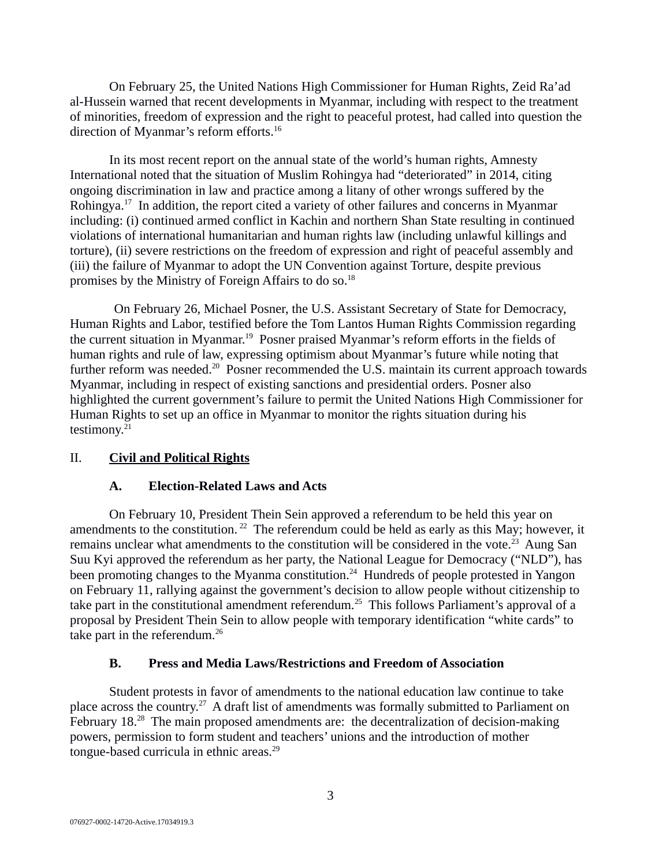On February 25, the United Nations High Commissioner for Human Rights, Zeid Ra'ad al-Hussein warned that recent developments in Myanmar, including with respect to the treatment of minorities, freedom of expression and the right to peaceful protest, had called into question the direction of Myanmar's reform efforts.<sup>16</sup>

In its most recent report on the annual state of the world's human rights, Amnesty International noted that the situation of Muslim Rohingya had "deteriorated" in 2014, citing ongoing discrimination in law and practice among a litany of other wrongs suffered by the Rohingya.<sup>17</sup> In addition, the report cited a variety of other failures and concerns in Myanmar including: (i) continued armed conflict in Kachin and northern Shan State resulting in continued violations of international humanitarian and human rights law (including unlawful killings and torture), (ii) severe restrictions on the freedom of expression and right of peaceful assembly and (iii) the failure of Myanmar to adopt the UN Convention against Torture, despite previous promises by the Ministry of Foreign Affairs to do so.<sup>18</sup>

On February 26, Michael Posner, the U.S. Assistant Secretary of State for Democracy, Human Rights and Labor, testified before the Tom Lantos Human Rights Commission regarding the current situation in Myanmar.<sup>19</sup> Posner praised Myanmar's reform efforts in the fields of human rights and rule of law, expressing optimism about Myanmar's future while noting that further reform was needed.<sup>20</sup> Posner recommended the U.S. maintain its current approach towards Myanmar, including in respect of existing sanctions and presidential orders. Posner also highlighted the current government's failure to permit the United Nations High Commissioner for Human Rights to set up an office in Myanmar to monitor the rights situation during his testimony.<sup>21</sup>

### II. **Civil and Political Rights**

### <span id="page-2-2"></span><span id="page-2-1"></span>**A. Election-Related Laws and Acts**

On February 10, President Thein Sein approved a referendum to be held this year on amendments to the constitution.<sup>22</sup> The referendum could be held as early as this May; however, it remains unclear what amendments to the constitution will be considered in the vote.<sup>23</sup> Aung San Suu Kyi approved the referendum as her party, the National League for Democracy ("NLD"), has been promoting changes to the Myanma constitution.<sup>24</sup> Hundreds of people protested in Yangon on February 11, rallying against the government's decision to allow people without citizenship to take part in the constitutional amendment referendum.<sup>25</sup> This follows Parliament's approval of a proposal by President Thein Sein to allow people with temporary identification "white cards" to take part in the referendum.<sup>26</sup>

## <span id="page-2-0"></span>**B. Press and Media Laws/Restrictions and Freedom of Association**

Student protests in favor of amendments to the national education law continue to take place across the country.<sup>27</sup> A draft list of amendments was formally submitted to Parliament on February  $18<sup>28</sup>$  The main proposed amendments are: the decentralization of decision-making powers, permission to form student and teachers' unions and the introduction of mother tongue-based curricula in ethnic areas.<sup>29</sup>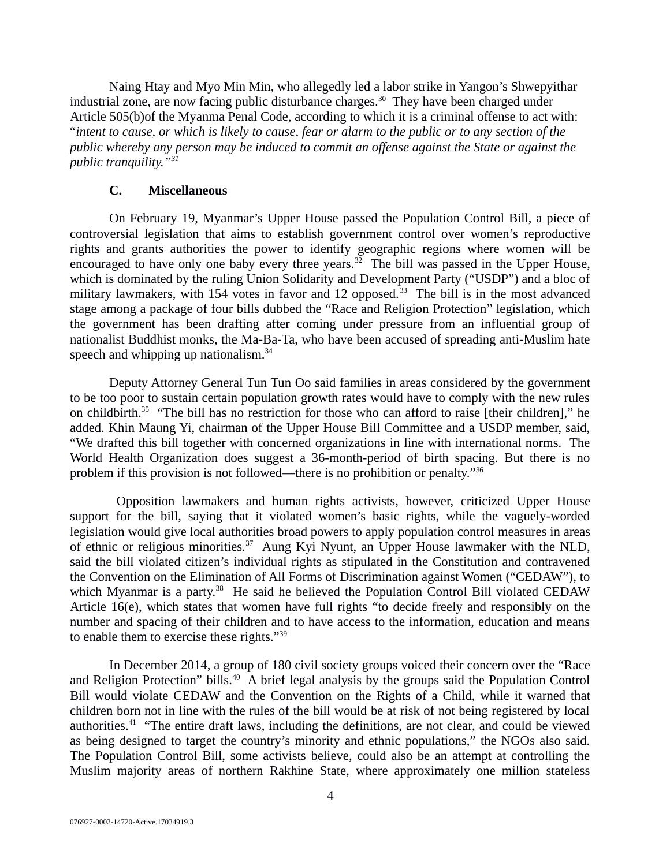Naing Htay and Myo Min Min, who allegedly led a labor strike in Yangon's Shwepyithar industrial zone, are now facing public disturbance charges.<sup>30</sup> They have been charged under Article 505(b)of the Myanma Penal Code, according to which it is a criminal offense to act with: "*intent to cause, or which is likely to cause, fear or alarm to the public or to any section of the public whereby any person may be induced to commit an offense against the State or against the public tranquility."<sup>31</sup>*

#### <span id="page-3-0"></span>**C. Miscellaneous**

On February 19, Myanmar's Upper House passed the Population Control Bill, a piece of controversial legislation that aims to establish government control over women's reproductive rights and grants authorities the power to identify geographic regions where women will be encouraged to have only one baby every three years.<sup>32</sup> The bill was passed in the Upper House, which is dominated by the ruling Union Solidarity and Development Party ("USDP") and a bloc of military lawmakers, with 154 votes in favor and 12 opposed.<sup>33</sup> The bill is in the most advanced stage among a package of four bills dubbed the "Race and Religion Protection" legislation, which the government has been drafting after coming under pressure from an influential group of nationalist Buddhist monks, the Ma-Ba-Ta, who have been accused of spreading anti-Muslim hate speech and whipping up nationalism. $34$ 

Deputy Attorney General Tun Tun Oo said families in areas considered by the government to be too poor to sustain certain population growth rates would have to comply with the new rules on childbirth.<sup>35</sup> "The bill has no restriction for those who can afford to raise [their children]," he added. Khin Maung Yi, chairman of the Upper House Bill Committee and a USDP member, said, "We drafted this bill together with concerned organizations in line with international norms. The World Health Organization does suggest a 36-month-period of birth spacing. But there is no problem if this provision is not followed—there is no prohibition or penalty."<sup>36</sup>

 Opposition lawmakers and human rights activists, however, criticized Upper House support for the bill, saying that it violated women's basic rights, while the vaguely-worded legislation would give local authorities broad powers to apply population control measures in areas of ethnic or religious minorities.<sup>37</sup> Aung Kyi Nyunt, an Upper House lawmaker with the NLD, said the bill violated citizen's individual rights as stipulated in the Constitution and contravened the Convention on the Elimination of All Forms of Discrimination against Women ("CEDAW"), to which Myanmar is a party.<sup>38</sup> He said he believed the Population Control Bill violated CEDAW Article 16(e), which states that women have full rights "to decide freely and responsibly on the number and spacing of their children and to have access to the information, education and means to enable them to exercise these rights."<sup>39</sup>

In December 2014, a group of 180 civil society groups voiced their concern over the "Race and Religion Protection" bills.<sup>40</sup> A brief legal analysis by the groups said the Population Control Bill would violate CEDAW and the Convention on the Rights of a Child, while it warned that children born not in line with the rules of the bill would be at risk of not being registered by local authorities.<sup>41</sup> "The entire draft laws, including the definitions, are not clear, and could be viewed as being designed to target the country's minority and ethnic populations," the NGOs also said. The Population Control Bill, some activists believe, could also be an attempt at controlling the Muslim majority areas of northern Rakhine State, where approximately one million stateless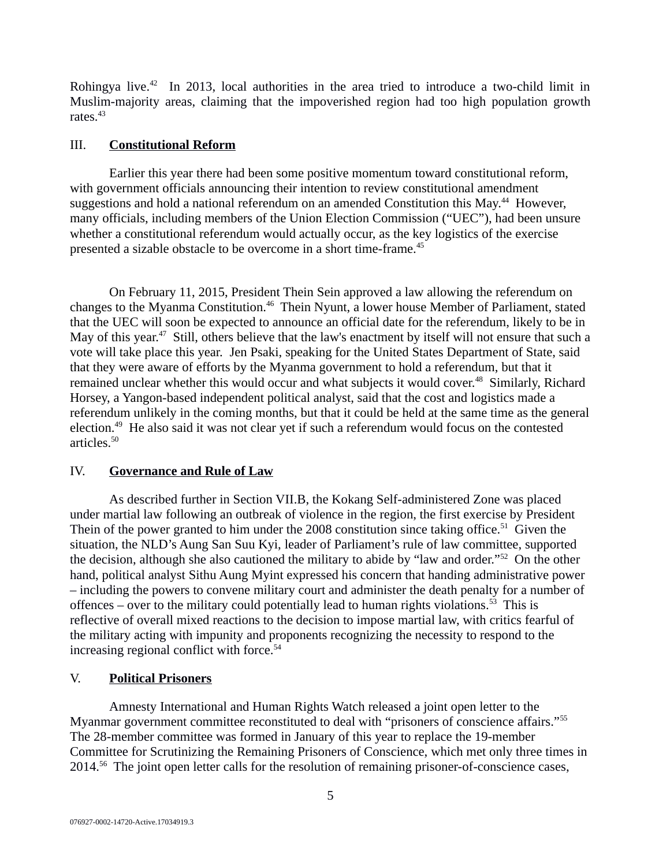Rohingya live.<sup>42</sup> In 2013, local authorities in the area tried to introduce a two-child limit in Muslim-majority areas, claiming that the impoverished region had too high population growth rates.<sup>43</sup>

#### <span id="page-4-2"></span>III. **Constitutional Reform**

Earlier this year there had been some positive momentum toward constitutional reform, with government officials announcing their intention to review constitutional amendment suggestions and hold a national referendum on an amended Constitution this May.<sup>44</sup> However, many officials, including members of the Union Election Commission ("UEC"), had been unsure whether a constitutional referendum would actually occur, as the key logistics of the exercise presented a sizable obstacle to be overcome in a short time-frame.<sup>45</sup>

On February 11, 2015, President Thein Sein approved a law allowing the referendum on changes to the Myanma Constitution.<sup>46</sup> Thein Nyunt, a lower house Member of Parliament, stated that the UEC will soon be expected to announce an official date for the referendum, likely to be in May of this year.<sup>47</sup> Still, others believe that the law's enactment by itself will not ensure that such a vote will take place this year. Jen Psaki, speaking for the United States Department of State, said that they were aware of efforts by the Myanma government to hold a referendum, but that it remained unclear whether this would occur and what subjects it would cover.<sup>48</sup> Similarly, Richard Horsey, a Yangon-based independent political analyst, said that the cost and logistics made a referendum unlikely in the coming months, but that it could be held at the same time as the general election.<sup>49</sup> He also said it was not clear yet if such a referendum would focus on the contested articles. $50$ 

### <span id="page-4-1"></span>IV. **Governance and Rule of Law**

As described further in Section VII.B, the Kokang Self-administered Zone was placed under martial law following an outbreak of violence in the region, the first exercise by President Thein of the power granted to him under the 2008 constitution since taking office.<sup>51</sup> Given the situation, the NLD's Aung San Suu Kyi, leader of Parliament's rule of law committee, supported the decision, although she also cautioned the military to abide by "law and order."<sup>52</sup> On the other hand, political analyst Sithu Aung Myint expressed his concern that handing administrative power – including the powers to convene military court and administer the death penalty for a number of offences – over to the military could potentially lead to human rights violations.<sup>53</sup> This is reflective of overall mixed reactions to the decision to impose martial law, with critics fearful of the military acting with impunity and proponents recognizing the necessity to respond to the increasing regional conflict with force.<sup>54</sup>

## <span id="page-4-0"></span>V. **Political Prisoners**

Amnesty International and Human Rights Watch released a joint open letter to the Myanmar government committee reconstituted to deal with "prisoners of conscience affairs."<sup>55</sup> The 28-member committee was formed in January of this year to replace the 19-member Committee for Scrutinizing the Remaining Prisoners of Conscience, which met only three times in 2014.<sup>56</sup> The joint open letter calls for the resolution of remaining prisoner-of-conscience cases,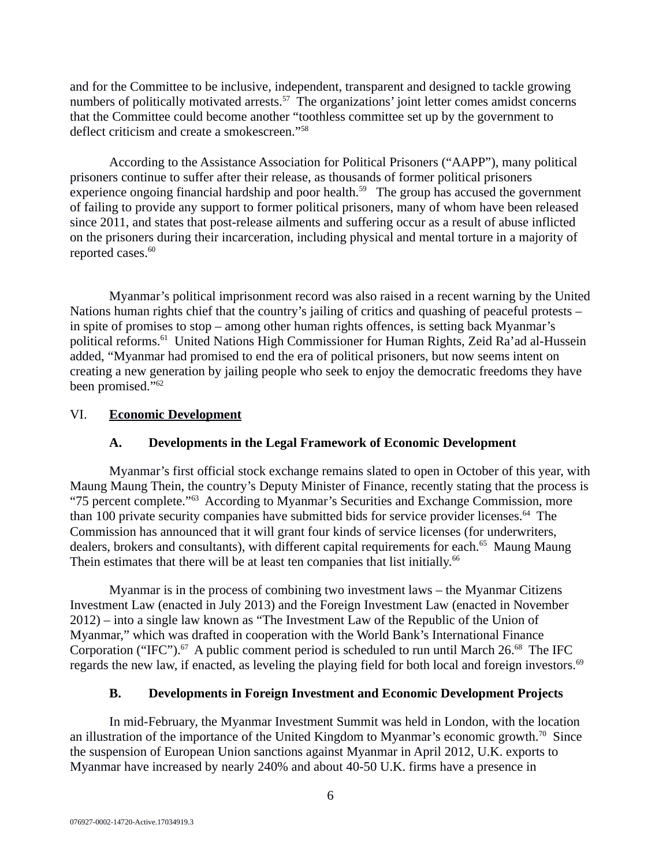and for the Committee to be inclusive, independent, transparent and designed to tackle growing numbers of politically motivated arrests.<sup>57</sup> The organizations' joint letter comes amidst concerns that the Committee could become another "toothless committee set up by the government to deflect criticism and create a smokescreen."<sup>58</sup>

According to the Assistance Association for Political Prisoners ("AAPP"), many political prisoners continue to suffer after their release, as thousands of former political prisoners experience ongoing financial hardship and poor health.<sup>59</sup> The group has accused the government of failing to provide any support to former political prisoners, many of whom have been released since 2011, and states that post-release ailments and suffering occur as a result of abuse inflicted on the prisoners during their incarceration, including physical and mental torture in a majority of reported cases.<sup>60</sup>

Myanmar's political imprisonment record was also raised in a recent warning by the United Nations human rights chief that the country's jailing of critics and quashing of peaceful protests – in spite of promises to stop – among other human rights offences, is setting back Myanmar's political reforms.<sup>61</sup> United Nations High Commissioner for Human Rights, Zeid Ra'ad al-Hussein added, "Myanmar had promised to end the era of political prisoners, but now seems intent on creating a new generation by jailing people who seek to enjoy the democratic freedoms they have been promised."<sup>62</sup>

### VI. **Economic Development**

## <span id="page-5-2"></span><span id="page-5-1"></span>**A. Developments in the Legal Framework of Economic Development**

Myanmar's first official stock exchange remains slated to open in October of this year, with Maung Maung Thein, the country's Deputy Minister of Finance, recently stating that the process is "75 percent complete."<sup>63</sup> According to Myanmar's Securities and Exchange Commission, more than 100 private security companies have submitted bids for service provider licenses. $64$  The Commission has announced that it will grant four kinds of service licenses (for underwriters, dealers, brokers and consultants), with different capital requirements for each.<sup>65</sup> Maung Maung Thein estimates that there will be at least ten companies that list initially.<sup>66</sup>

Myanmar is in the process of combining two investment laws – the Myanmar Citizens Investment Law (enacted in July 2013) and the Foreign Investment Law (enacted in November 2012) – into a single law known as "The Investment Law of the Republic of the Union of Myanmar," which was drafted in cooperation with the World Bank's International Finance Corporation ("IFC").<sup>67</sup> A public comment period is scheduled to run until March 26.<sup>68</sup> The IFC regards the new law, if enacted, as leveling the playing field for both local and foreign investors. $^{69}$ 

### <span id="page-5-0"></span>**B. Developments in Foreign Investment and Economic Development Projects**

In mid-February, the Myanmar Investment Summit was held in London, with the location an illustration of the importance of the United Kingdom to Myanmar's economic growth.<sup>70</sup> Since the suspension of European Union sanctions against Myanmar in April 2012, U.K. exports to Myanmar have increased by nearly 240% and about 40-50 U.K. firms have a presence in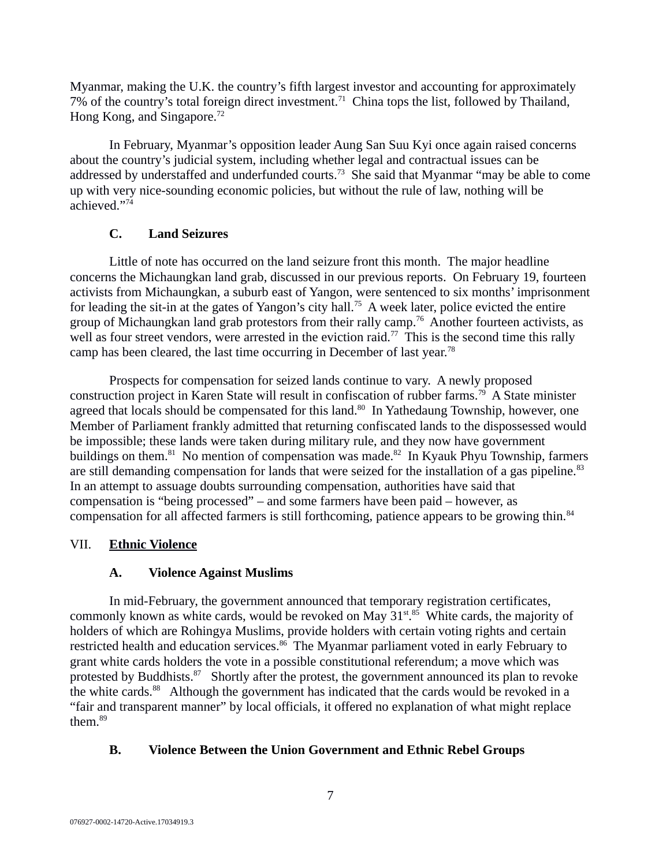Myanmar, making the U.K. the country's fifth largest investor and accounting for approximately  $7\%$  of the country's total foreign direct investment.<sup>71</sup> China tops the list, followed by Thailand, Hong Kong, and Singapore.<sup>72</sup>

In February, Myanmar's opposition leader Aung San Suu Kyi once again raised concerns about the country's judicial system, including whether legal and contractual issues can be addressed by understaffed and underfunded courts.<sup>73</sup> She said that Myanmar "may be able to come up with very nice-sounding economic policies, but without the rule of law, nothing will be achieved."<sup>74</sup>

# <span id="page-6-3"></span>**C. Land Seizures**

Little of note has occurred on the land seizure front this month. The major headline concerns the Michaungkan land grab, discussed in our previous reports. On February 19, fourteen activists from Michaungkan, a suburb east of Yangon, were sentenced to six months' imprisonment for leading the sit-in at the gates of Yangon's city hall.<sup>75</sup> A week later, police evicted the entire group of Michaungkan land grab protestors from their rally camp.<sup>76</sup> Another fourteen activists, as well as four street vendors, were arrested in the eviction raid.<sup>77</sup> This is the second time this rally camp has been cleared, the last time occurring in December of last year.<sup>78</sup>

Prospects for compensation for seized lands continue to vary. A newly proposed construction project in Karen State will result in confiscation of rubber farms.<sup>79</sup> A State minister agreed that locals should be compensated for this land.<sup>80</sup> In Yathedaung Township, however, one Member of Parliament frankly admitted that returning confiscated lands to the dispossessed would be impossible; these lands were taken during military rule, and they now have government buildings on them.<sup>81</sup> No mention of compensation was made.<sup>82</sup> In Kyauk Phyu Township, farmers are still demanding compensation for lands that were seized for the installation of a gas pipeline. $83$ In an attempt to assuage doubts surrounding compensation, authorities have said that compensation is "being processed" – and some farmers have been paid – however, as compensation for all affected farmers is still forthcoming, patience appears to be growing thin.<sup>84</sup>

# VII. **Ethnic Violence**

# <span id="page-6-2"></span><span id="page-6-1"></span>**A. Violence Against Muslims**

In mid-February, the government announced that temporary registration certificates, commonly known as white cards, would be revoked on May  $31^{st.85}$  White cards, the majority of holders of which are Rohingya Muslims, provide holders with certain voting rights and certain restricted health and education services.<sup>86</sup> The Myanmar parliament voted in early February to grant white cards holders the vote in a possible constitutional referendum; a move which was protested by Buddhists. $87$  Shortly after the protest, the government announced its plan to revoke the white cards. $88$  Although the government has indicated that the cards would be revoked in a "fair and transparent manner" by local officials, it offered no explanation of what might replace them.<sup>89</sup>

# <span id="page-6-0"></span>**B. Violence Between the Union Government and Ethnic Rebel Groups**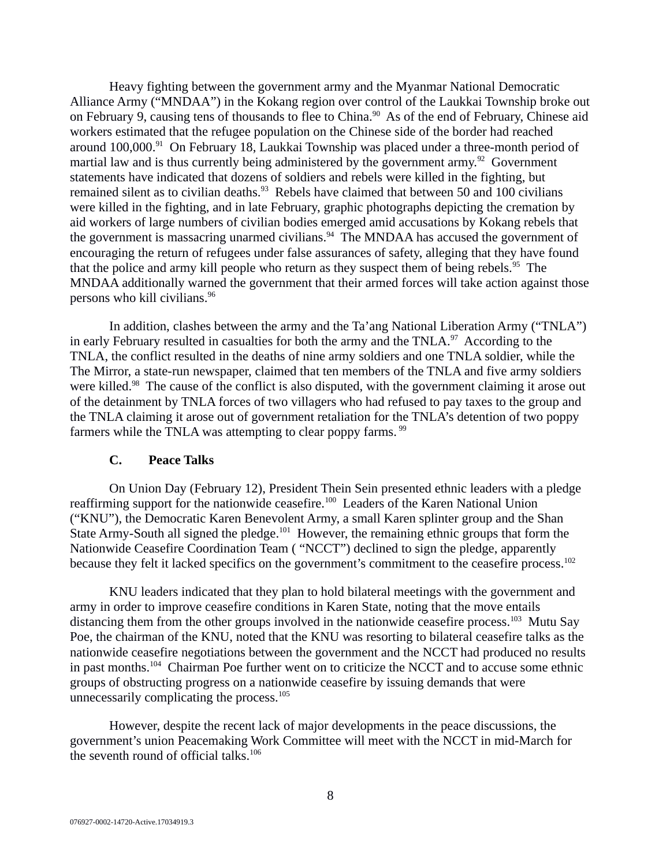Heavy fighting between the government army and the Myanmar National Democratic Alliance Army ("MNDAA") in the Kokang region over control of the Laukkai Township broke out on February 9, causing tens of thousands to flee to China.<sup>90</sup> As of the end of February, Chinese aid workers estimated that the refugee population on the Chinese side of the border had reached around 100,000.<sup>91</sup> On February 18, Laukkai Township was placed under a three-month period of martial law and is thus currently being administered by the government army.<sup>92</sup> Government statements have indicated that dozens of soldiers and rebels were killed in the fighting, but remained silent as to civilian deaths. $93$  Rebels have claimed that between 50 and 100 civilians were killed in the fighting, and in late February, graphic photographs depicting the cremation by aid workers of large numbers of civilian bodies emerged amid accusations by Kokang rebels that the government is massacring unarmed civilians. $94$  The MNDAA has accused the government of encouraging the return of refugees under false assurances of safety, alleging that they have found that the police and army kill people who return as they suspect them of being rebels.<sup>95</sup> The MNDAA additionally warned the government that their armed forces will take action against those persons who kill civilians.<sup>96</sup>

In addition, clashes between the army and the Ta'ang National Liberation Army ("TNLA") in early February resulted in casualties for both the army and the TNLA. $97$  According to the TNLA, the conflict resulted in the deaths of nine army soldiers and one TNLA soldier, while the The Mirror, a state-run newspaper, claimed that ten members of the TNLA and five army soldiers were killed.<sup>98</sup> The cause of the conflict is also disputed, with the government claiming it arose out of the detainment by TNLA forces of two villagers who had refused to pay taxes to the group and the TNLA claiming it arose out of government retaliation for the TNLA's detention of two poppy farmers while the TNLA was attempting to clear poppy farms.  $99$ 

#### <span id="page-7-0"></span>**C. Peace Talks**

On Union Day (February 12), President Thein Sein presented ethnic leaders with a pledge reaffirming support for the nationwide ceasefire.<sup>100</sup> Leaders of the Karen National Union ("KNU"), the Democratic Karen Benevolent Army, a small Karen splinter group and the Shan State Army-South all signed the pledge.<sup>101</sup> However, the remaining ethnic groups that form the Nationwide Ceasefire Coordination Team ( "NCCT") declined to sign the pledge, apparently because they felt it lacked specifics on the government's commitment to the ceasefire process.<sup>102</sup>

KNU leaders indicated that they plan to hold bilateral meetings with the government and army in order to improve ceasefire conditions in Karen State, noting that the move entails distancing them from the other groups involved in the nationwide ceasefire process.<sup>103</sup> Mutu Say Poe, the chairman of the KNU, noted that the KNU was resorting to bilateral ceasefire talks as the nationwide ceasefire negotiations between the government and the NCCT had produced no results in past months.<sup>104</sup> Chairman Poe further went on to criticize the NCCT and to accuse some ethnic groups of obstructing progress on a nationwide ceasefire by issuing demands that were unnecessarily complicating the process.<sup>105</sup>

However, despite the recent lack of major developments in the peace discussions, the government's union Peacemaking Work Committee will meet with the NCCT in mid-March for the seventh round of official talks. $106$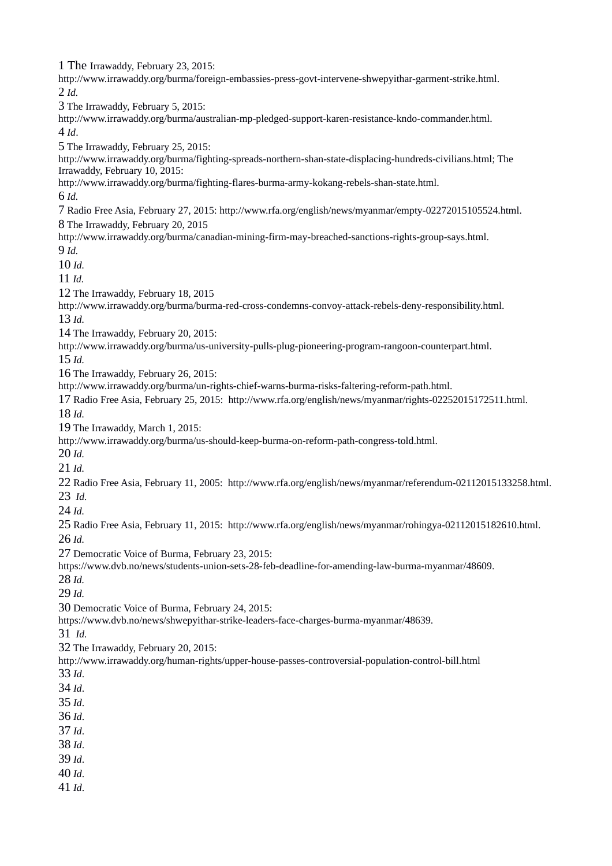The Irrawaddy, February 23, 2015: http://www.irrawaddy.org/burma/foreign-embassies-press-govt-intervene-shwepyithar-garment-strike.html. *Id.* The Irrawaddy, February 5, 2015: http://www.irrawaddy.org/burma/australian-mp-pledged-support-karen-resistance-kndo-commander.html. *Id*. The Irrawaddy, February 25, 2015: http://www.irrawaddy.org/burma/fighting-spreads-northern-shan-state-displacing-hundreds-civilians.html; The Irrawaddy, February 10, 2015: http://www.irrawaddy.org/burma/fighting-flares-burma-army-kokang-rebels-shan-state.html. *Id.* Radio Free Asia, February 27, 2015: http://www.rfa.org/english/news/myanmar/empty-02272015105524.html. The Irrawaddy, February 20, 2015 http://www.irrawaddy.org/burma/canadian-mining-firm-may-breached-sanctions-rights-group-says.html. *Id. Id. Id.* The Irrawaddy, February 18, 2015 http://www.irrawaddy.org/burma/burma-red-cross-condemns-convoy-attack-rebels-deny-responsibility.html. *Id.* The Irrawaddy, February 20, 2015: http://www.irrawaddy.org/burma/us-university-pulls-plug-pioneering-program-rangoon-counterpart.html. *Id.* The Irrawaddy, February 26, 2015: http://www.irrawaddy.org/burma/un-rights-chief-warns-burma-risks-faltering-reform-path.html. Radio Free Asia, February 25, 2015: http://www.rfa.org/english/news/myanmar/rights-02252015172511.html. *Id.* The Irrawaddy, March 1, 2015: http://www.irrawaddy.org/burma/us-should-keep-burma-on-reform-path-congress-told.html. *Id. Id.* Radio Free Asia, February 11, 2005: http://www.rfa.org/english/news/myanmar/referendum-02112015133258.html. *Id. Id.*  Radio Free Asia, February 11, 2015: http://www.rfa.org/english/news/myanmar/rohingya-02112015182610.html. *Id.* Democratic Voice of Burma, February 23, 2015: https://www.dvb.no/news/students-union-sets-28-feb-deadline-for-amending-law-burma-myanmar/48609. *Id. Id.* Democratic Voice of Burma, February 24, 2015: https://www.dvb.no/news/shwepyithar-strike-leaders-face-charges-burma-myanmar/48639. *Id.* The Irrawaddy, February 20, 2015: http://www.irrawaddy.org/human-rights/upper-house-passes-controversial-population-control-bill.html *Id*. *Id*. *Id*. *Id*. *Id*. *Id*. *Id*. *Id*. *Id*.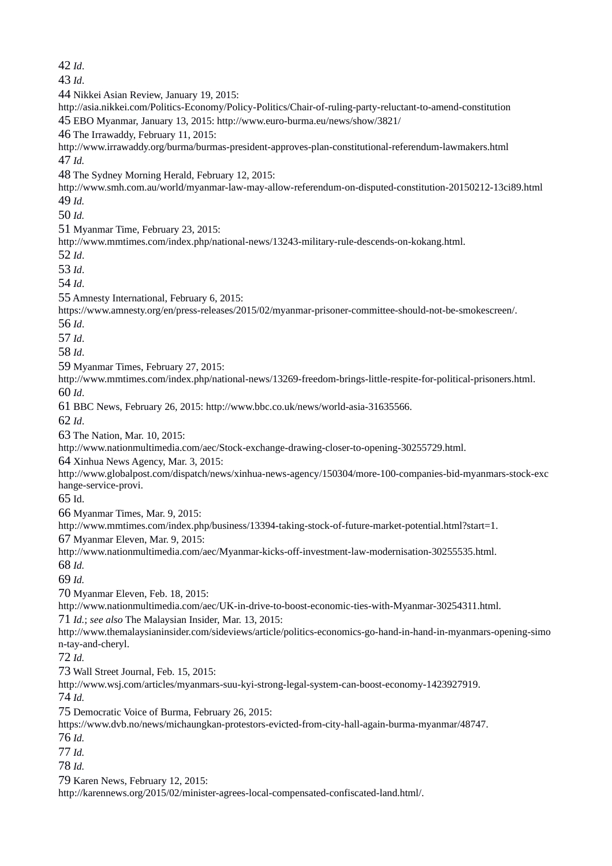*Id*. *Id*. Nikkei Asian Review, January 19, 2015: http://asia.nikkei.com/Politics-Economy/Policy-Politics/Chair-of-ruling-party-reluctant-to-amend-constitution EBO Myanmar, January 13, 2015: http://www.euro-burma.eu/news/show/3821/ The Irrawaddy, February 11, 2015: http://www.irrawaddy.org/burma/burmas-president-approves-plan-constitutional-referendum-lawmakers.html *Id.* The Sydney Morning Herald, February 12, 2015: http://www.smh.com.au/world/myanmar-law-may-allow-referendum-on-disputed-constitution-20150212-13ci89.html *Id. Id.* Myanmar Time, February 23, 2015: http://www.mmtimes.com/index.php/national-news/13243-military-rule-descends-on-kokang.html. *Id*. *Id*. *Id*. Amnesty International, February 6, 2015: https://www.amnesty.org/en/press-releases/2015/02/myanmar-prisoner-committee-should-not-be-smokescreen/. *Id*. *Id*. *Id*. Myanmar Times, February 27, 2015: http://www.mmtimes.com/index.php/national-news/13269-freedom-brings-little-respite-for-political-prisoners.html. *Id*. BBC News, February 26, 2015: http://www.bbc.co.uk/news/world-asia-31635566. *Id*. The Nation, Mar. 10, 2015: http://www.nationmultimedia.com/aec/Stock-exchange-drawing-closer-to-opening-30255729.html. Xinhua News Agency, Mar. 3, 2015: http://www.globalpost.com/dispatch/news/xinhua-news-agency/150304/more-100-companies-bid-myanmars-stock-exc hange-service-provi. Id. Myanmar Times, Mar. 9, 2015: http://www.mmtimes.com/index.php/business/13394-taking-stock-of-future-market-potential.html?start=1. Myanmar Eleven, Mar. 9, 2015: http://www.nationmultimedia.com/aec/Myanmar-kicks-off-investment-law-modernisation-30255535.html. *Id. Id.* Myanmar Eleven, Feb. 18, 2015: http://www.nationmultimedia.com/aec/UK-in-drive-to-boost-economic-ties-with-Myanmar-30254311.html. *Id.*; *see also* The Malaysian Insider, Mar. 13, 2015: http://www.themalaysianinsider.com/sideviews/article/politics-economics-go-hand-in-hand-in-myanmars-opening-simo n-tay-and-cheryl. *Id.* Wall Street Journal, Feb. 15, 2015: http://www.wsj.com/articles/myanmars-suu-kyi-strong-legal-system-can-boost-economy-1423927919. *Id.* Democratic Voice of Burma, February 26, 2015: https://www.dvb.no/news/michaungkan-protestors-evicted-from-city-hall-again-burma-myanmar/48747. *Id. Id. Id.* Karen News, February 12, 2015: http://karennews.org/2015/02/minister-agrees-local-compensated-confiscated-land.html/.